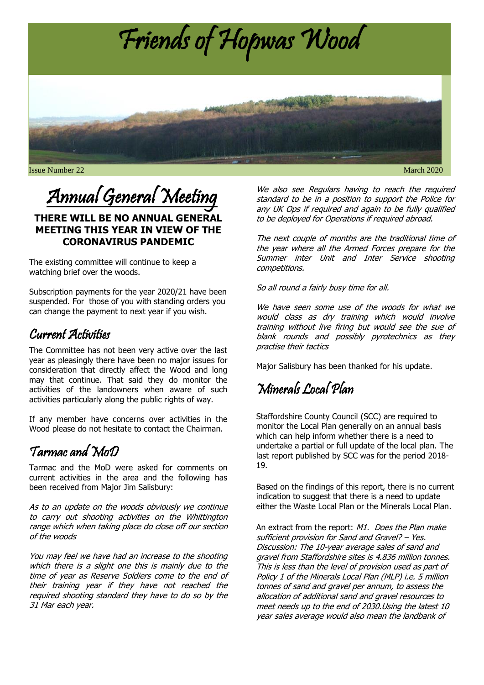

# Annual General Meeting

#### **THERE WILL BE NO ANNUAL GENERAL MEETING THIS YEAR IN VIEW OF THE CORONAVIRUS PANDEMIC**

The existing committee will continue to keep a watching brief over the woods.

Subscription payments for the year 2020/21 have been suspended. For those of you with standing orders you can change the payment to next year if you wish.

#### Current Activities

The Committee has not been very active over the last year as pleasingly there have been no major issues for consideration that directly affect the Wood and long may that continue. That said they do monitor the activities of the landowners when aware of such activities particularly along the public rights of way.

If any member have concerns over activities in the Wood please do not hesitate to contact the Chairman.

### Tarmac and MoD

Tarmac and the MoD were asked for comments on current activities in the area and the following has been received from Major Jim Salisbury:

As to an update on the woods obviously we continue to carry out shooting activities on the Whittington range which when taking place do close off our section of the woods

You may feel we have had an increase to the shooting which there is a slight one this is mainly due to the time of year as Reserve Soldiers come to the end of their training year if they have not reached the required shooting standard they have to do so by the 31 Mar each year.

We also see Regulars having to reach the required standard to be in a position to support the Police for any UK Ops if required and again to be fully qualified to be deployed for Operations if required abroad.

The next couple of months are the traditional time of the year where all the Armed Forces prepare for the Summer inter Unit and Inter Service shooting competitions.

So all round a fairly busy time for all.

We have seen some use of the woods for what we would class as dry training which would involve training without live firing but would see the sue of blank rounds and possibly pyrotechnics as they practise their tactics

Major Salisbury has been thanked for his update.

# Minerals Local Plan

Staffordshire County Council (SCC) are required to monitor the Local Plan generally on an annual basis which can help inform whether there is a need to undertake a partial or full update of the local plan. The last report published by SCC was for the period 2018- 19.

Based on the findings of this report, there is no current indication to suggest that there is a need to update either the Waste Local Plan or the Minerals Local Plan.

An extract from the report: M1. Does the Plan make sufficient provision for Sand and Gravel? – Yes. Discussion: The 10-year average sales of sand and gravel from Staffordshire sites is 4.836 million tonnes. This is less than the level of provision used as part of Policy 1 of the Minerals Local Plan (MLP) i.e. 5 million tonnes of sand and gravel per annum, to assess the allocation of additional sand and gravel resources to meet needs up to the end of 2030.Using the latest 10 year sales average would also mean the landbank of